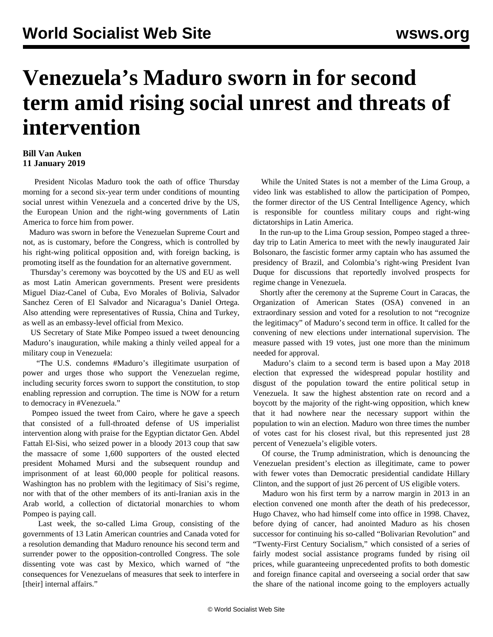## **Venezuela's Maduro sworn in for second term amid rising social unrest and threats of intervention**

## **Bill Van Auken 11 January 2019**

 President Nicolas Maduro took the oath of office Thursday morning for a second six-year term under conditions of mounting social unrest within Venezuela and a concerted drive by the US, the European Union and the right-wing governments of Latin America to force him from power.

 Maduro was sworn in before the Venezuelan Supreme Court and not, as is customary, before the Congress, which is controlled by his right-wing political opposition and, with foreign backing, is promoting itself as the foundation for an alternative government.

 Thursday's ceremony was boycotted by the US and EU as well as most Latin American governments. Present were presidents Miguel Diaz-Canel of Cuba, Evo Morales of Bolivia, Salvador Sanchez Ceren of El Salvador and Nicaragua's Daniel Ortega. Also attending were representatives of Russia, China and Turkey, as well as an embassy-level official from Mexico.

 US Secretary of State Mike Pompeo issued a tweet denouncing Maduro's inauguration, while making a thinly veiled appeal for a military coup in Venezuela:

 "The U.S. condemns #Maduro's illegitimate usurpation of power and urges those who support the Venezuelan regime, including security forces sworn to support the constitution, to stop enabling repression and corruption. The time is NOW for a return to democracy in #Venezuela."

 Pompeo issued the tweet from Cairo, where he gave a speech that consisted of a full-throated defense of US imperialist intervention along with praise for the Egyptian dictator Gen. Abdel Fattah El-Sisi, who seized power in a bloody 2013 coup that saw the massacre of some 1,600 supporters of the ousted elected president Mohamed Mursi and the subsequent roundup and imprisonment of at least 60,000 people for political reasons. Washington has no problem with the legitimacy of Sisi's regime, nor with that of the other members of its anti-Iranian axis in the Arab world, a collection of dictatorial monarchies to whom Pompeo is paying call.

 Last week, the so-called Lima Group, consisting of the governments of 13 Latin American countries and Canada voted for a resolution demanding that Maduro renounce his second term and surrender power to the opposition-controlled Congress. The sole dissenting vote was cast by Mexico, which warned of "the consequences for Venezuelans of measures that seek to interfere in [their] internal affairs."

 While the United States is not a member of the Lima Group, a video link was established to allow the participation of Pompeo, the former director of the US Central Intelligence Agency, which is responsible for countless military coups and right-wing dictatorships in Latin America.

 In the run-up to the Lima Group session, Pompeo staged a threeday trip to Latin America to meet with the newly inaugurated Jair Bolsonaro, the fascistic former army captain who has assumed the presidency of Brazil, and Colombia's right-wing President Ivan Duque for discussions that reportedly involved prospects for regime change in Venezuela.

 Shortly after the ceremony at the Supreme Court in Caracas, the Organization of American States (OSA) convened in an extraordinary session and voted for a resolution to not "recognize the legitimacy" of Maduro's second term in office. It called for the convening of new elections under international supervision. The measure passed with 19 votes, just one more than the minimum needed for approval.

 Maduro's claim to a second term is based upon a May 2018 election that expressed the widespread popular hostility and disgust of the population toward the entire political setup in Venezuela. It saw the highest abstention rate on record and a boycott by the majority of the right-wing opposition, which knew that it had nowhere near the necessary support within the population to win an election. Maduro won three times the number of votes cast for his closest rival, but this represented just 28 percent of Venezuela's eligible voters.

 Of course, the Trump administration, which is denouncing the Venezuelan president's election as illegitimate, came to power with fewer votes than Democratic presidential candidate Hillary Clinton, and the support of just 26 percent of US eligible voters.

 Maduro won his first term by a narrow margin in 2013 in an election convened one month after the death of his predecessor, Hugo Chavez, who had himself come into office in 1998. Chavez, before dying of cancer, had anointed Maduro as his chosen successor for continuing his so-called "Bolivarian Revolution" and "Twenty-First Century Socialism," which consisted of a series of fairly modest social assistance programs funded by rising oil prices, while guaranteeing unprecedented profits to both domestic and foreign finance capital and overseeing a social order that saw the share of the national income going to the employers actually